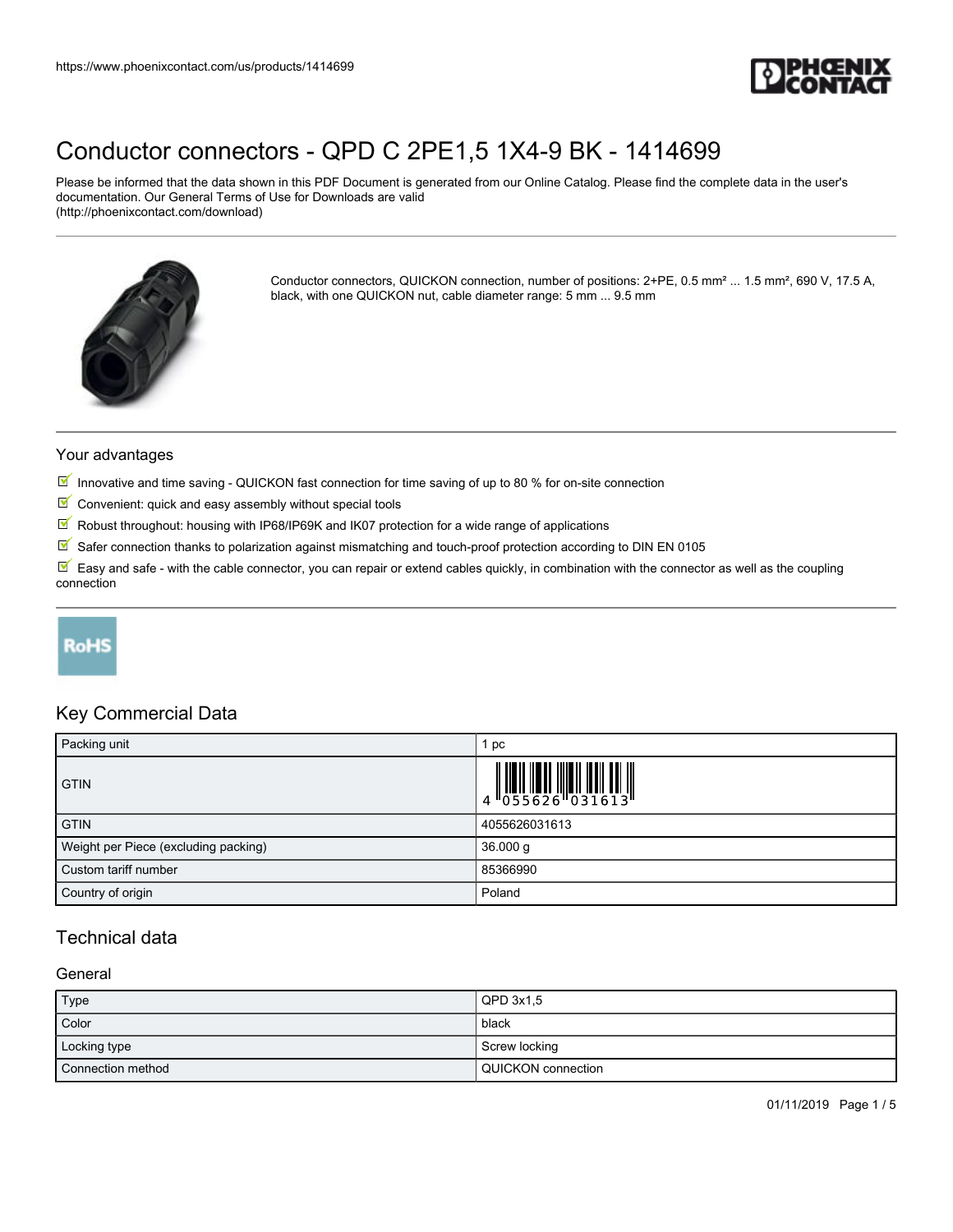

Please be informed that the data shown in this PDF Document is generated from our Online Catalog. Please find the complete data in the user's documentation. Our General Terms of Use for Downloads are valid (http://phoenixcontact.com/download)



Conductor connectors, QUICKON connection, number of positions: 2+PE, 0.5 mm² ... 1.5 mm², 690 V, 17.5 A, black, with one QUICKON nut, cable diameter range: 5 mm ... 9.5 mm

#### Your advantages

- Innovative and time saving QUICKON fast connection for time saving of up to 80 % for on-site connection
- $\blacksquare$  Convenient: quick and easy assembly without special tools
- $\sqrt{}$ Robust throughout: housing with IP68/IP69K and IK07 protection for a wide range of applications
- $\boxed{\blacksquare}$  Safer connection thanks to polarization against mismatching and touch-proof protection according to DIN EN 0105

 $\mathbb F$  Easy and safe - with the cable connector, you can repair or extend cables quickly, in combination with the connector as well as the coupling connection

# **RoHS**

## Key Commercial Data

| Packing unit                         | pc                                                                                                                                                                                                                                                                                                                        |
|--------------------------------------|---------------------------------------------------------------------------------------------------------------------------------------------------------------------------------------------------------------------------------------------------------------------------------------------------------------------------|
| <b>GTIN</b>                          | $\begin{array}{c} 1 & 0 & 0 & 0 & 0 \\ 0 & 0 & 0 & 0 & 0 & 0 \\ 0 & 0 & 0 & 0 & 0 & 0 \\ 0 & 0 & 0 & 0 & 0 & 0 \\ 0 & 0 & 0 & 0 & 0 & 0 \\ 0 & 0 & 0 & 0 & 0 & 0 \\ 0 & 0 & 0 & 0 & 0 & 0 \\ 0 & 0 & 0 & 0 & 0 & 0 \\ 0 & 0 & 0 & 0 & 0 & 0 & 0 \\ 0 & 0 & 0 & 0 & 0 & 0 & 0 \\ 0 & 0 & 0 & 0 & 0 & 0 & 0 \\ 0 & 0 & 0 &$ |
| <b>GTIN</b>                          | 4055626031613                                                                                                                                                                                                                                                                                                             |
| Weight per Piece (excluding packing) | 36.000 g                                                                                                                                                                                                                                                                                                                  |
| Custom tariff number                 | 85366990                                                                                                                                                                                                                                                                                                                  |
| Country of origin                    | Poland                                                                                                                                                                                                                                                                                                                    |

## Technical data

#### **General**

| Type              | $QPD$ 3x1.5          |
|-------------------|----------------------|
| Color             | black                |
| Locking type      | Screw locking        |
| Connection method | l QUICKON connection |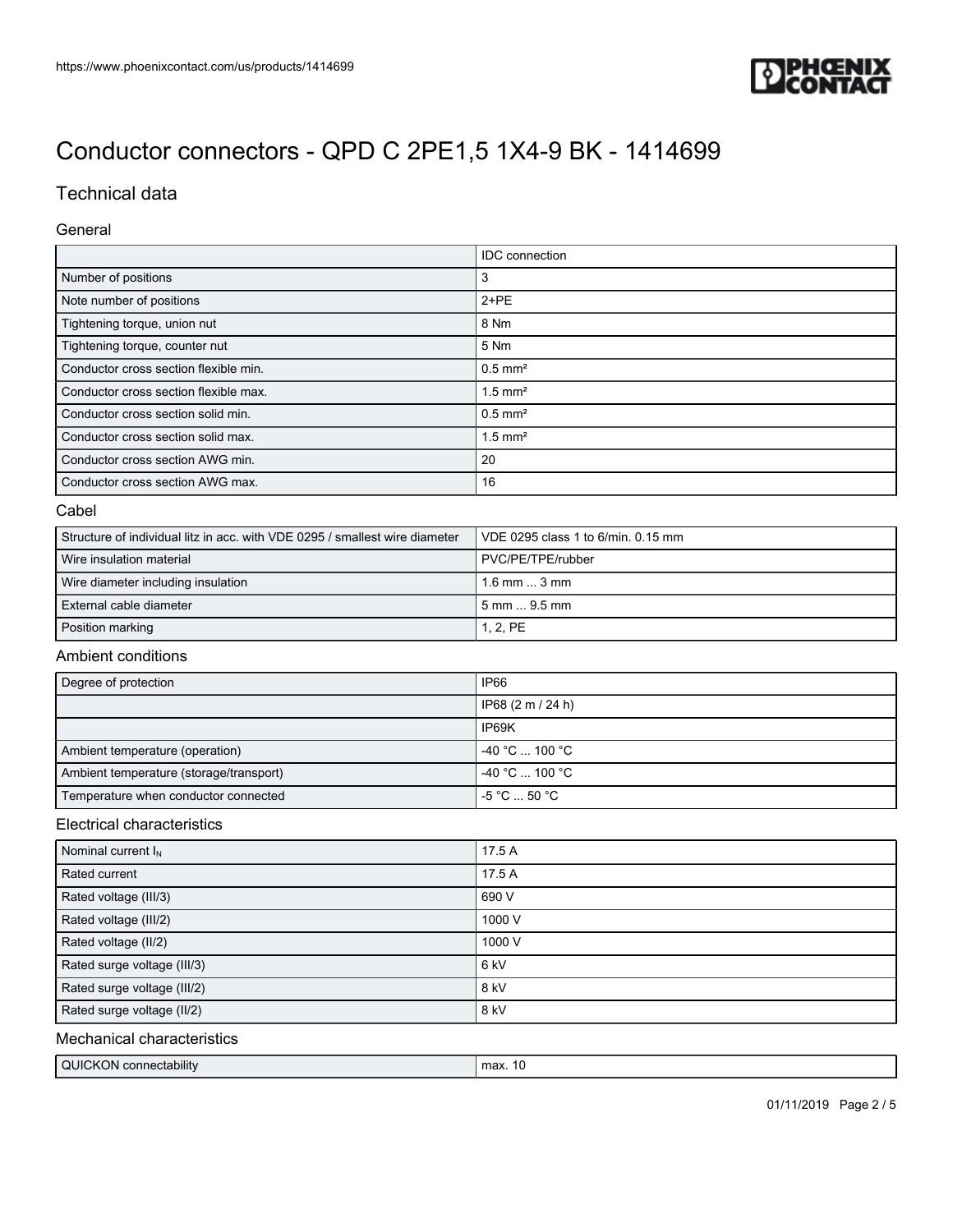

# Technical data

#### General

|                                       | <b>IDC</b> connection |
|---------------------------------------|-----------------------|
| Number of positions                   | 3                     |
| Note number of positions              | $2+PE$                |
| Tightening torque, union nut          | 8 Nm                  |
| Tightening torque, counter nut        | 5 Nm                  |
| Conductor cross section flexible min. | $0.5$ mm <sup>2</sup> |
| Conductor cross section flexible max. | $1.5$ mm <sup>2</sup> |
| Conductor cross section solid min.    | $0.5$ mm <sup>2</sup> |
| Conductor cross section solid max.    | $1.5$ mm <sup>2</sup> |
| Conductor cross section AWG min.      | 20                    |
| Conductor cross section AWG max.      | 16                    |

#### Cabel

| Structure of individual litz in acc. with VDE 0295 / smallest wire diameter | VDE 0295 class 1 to 6/min. 0.15 mm |
|-----------------------------------------------------------------------------|------------------------------------|
| Wire insulation material                                                    | PVC/PE/TPE/rubber                  |
| Wire diameter including insulation                                          | $1.6$ mm $$ 3 mm                   |
| External cable diameter                                                     | 5 mm  9.5 mm                       |
| Position marking                                                            | 1, 2, PE                           |

### Ambient conditions

| Degree of protection                    | IP66                                    |
|-----------------------------------------|-----------------------------------------|
|                                         | IP68 (2 m / 24 h)                       |
|                                         | IP69K                                   |
| Ambient temperature (operation)         | $-40 °C$ 100 °C                         |
| Ambient temperature (storage/transport) | $-40 °C$ 100 °C                         |
| Temperature when conductor connected    | $-5^{\circ}$ C $\ldots$ 50 $^{\circ}$ C |

### Electrical characteristics

| Nominal current $I_N$       | 17.5 A          |
|-----------------------------|-----------------|
| Rated current               | 17.5 A          |
| Rated voltage (III/3)       | 690 V           |
| Rated voltage (III/2)       | 1000 V          |
| Rated voltage (II/2)        | 1000 V          |
| Rated surge voltage (III/3) | 6 <sub>kV</sub> |
| Rated surge voltage (III/2) | 8 kV            |
| Rated surge voltage (II/2)  | 8 kV            |

## Mechanical characteristics

| QUICKON connectability | max. |
|------------------------|------|
|                        |      |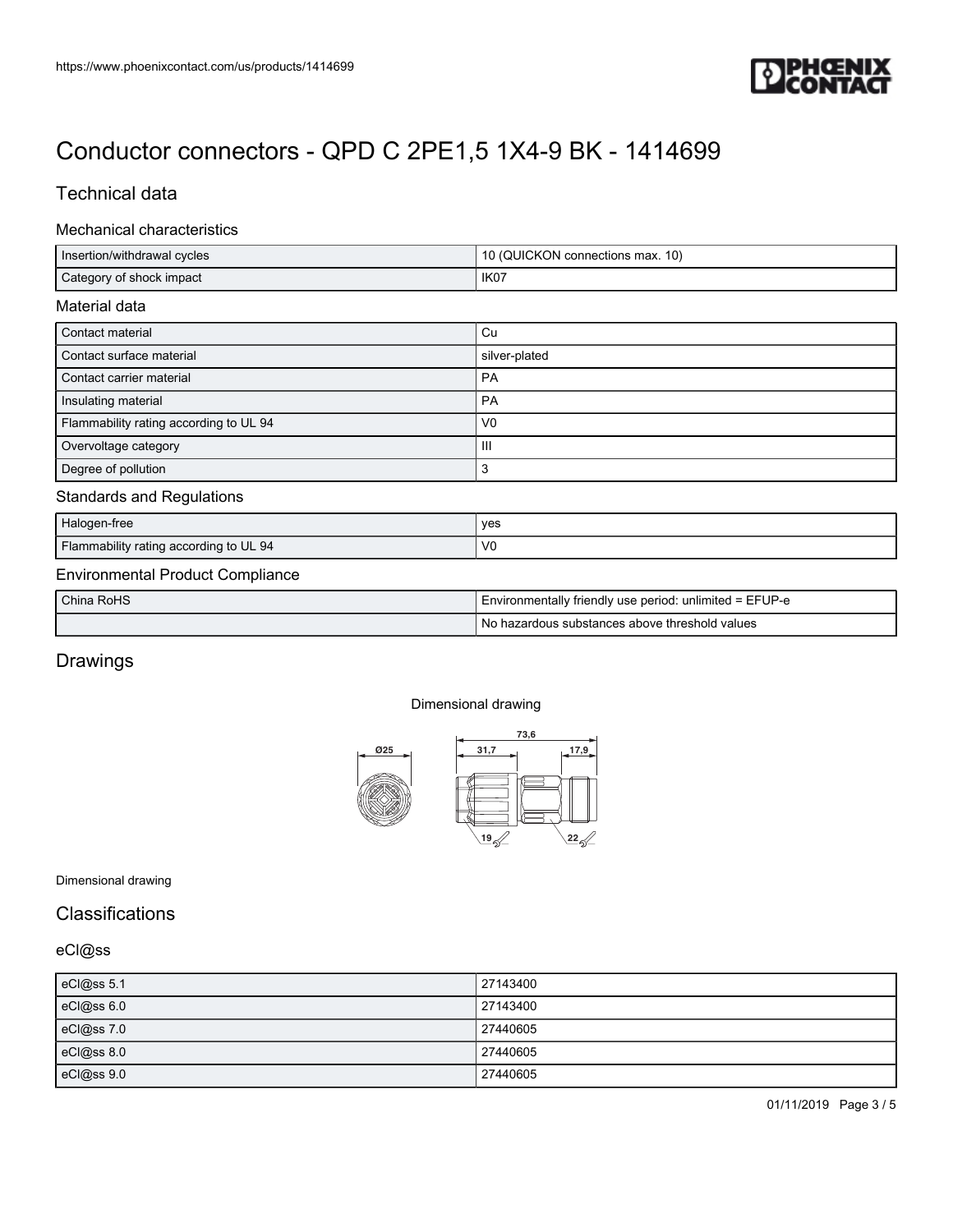

## Technical data

#### Mechanical characteristics

| Insertion/withdrawal cycles            | 10 (QUICKON connections max. 10) |  |
|----------------------------------------|----------------------------------|--|
| Category of shock impact               | IK07                             |  |
| Material data                          |                                  |  |
| Contact material                       | Cu                               |  |
| Contact surface material               | silver-plated                    |  |
| Contact carrier material               | PA                               |  |
| Insulating material                    | <b>PA</b>                        |  |
| Flammability rating according to UL 94 | V <sub>0</sub>                   |  |
| Overvoltage category                   | Ш                                |  |
| Degree of pollution                    | 3                                |  |
| <b>Standards and Regulations</b>       |                                  |  |
| Halogen-free                           | yes                              |  |
| Flammability rating according to UL 94 | V <sub>0</sub>                   |  |

## Environmental Product Compliance

| China RoHS | I Environmentally friendly use period: unlimited = EFUP-e |
|------------|-----------------------------------------------------------|
|            | 'No hazardous substances above threshold values           |

# Drawings

#### Dimensional drawing



Dimensional drawing

### **Classifications**

## eCl@ss

| eCl@ss 5.1      | 27143400 |
|-----------------|----------|
| $c$ Cl $@ss6.0$ | 27143400 |
| eCl@ss 7.0      | 27440605 |
| eCl@ss 8.0      | 27440605 |
| eCl@ss 9.0      | 27440605 |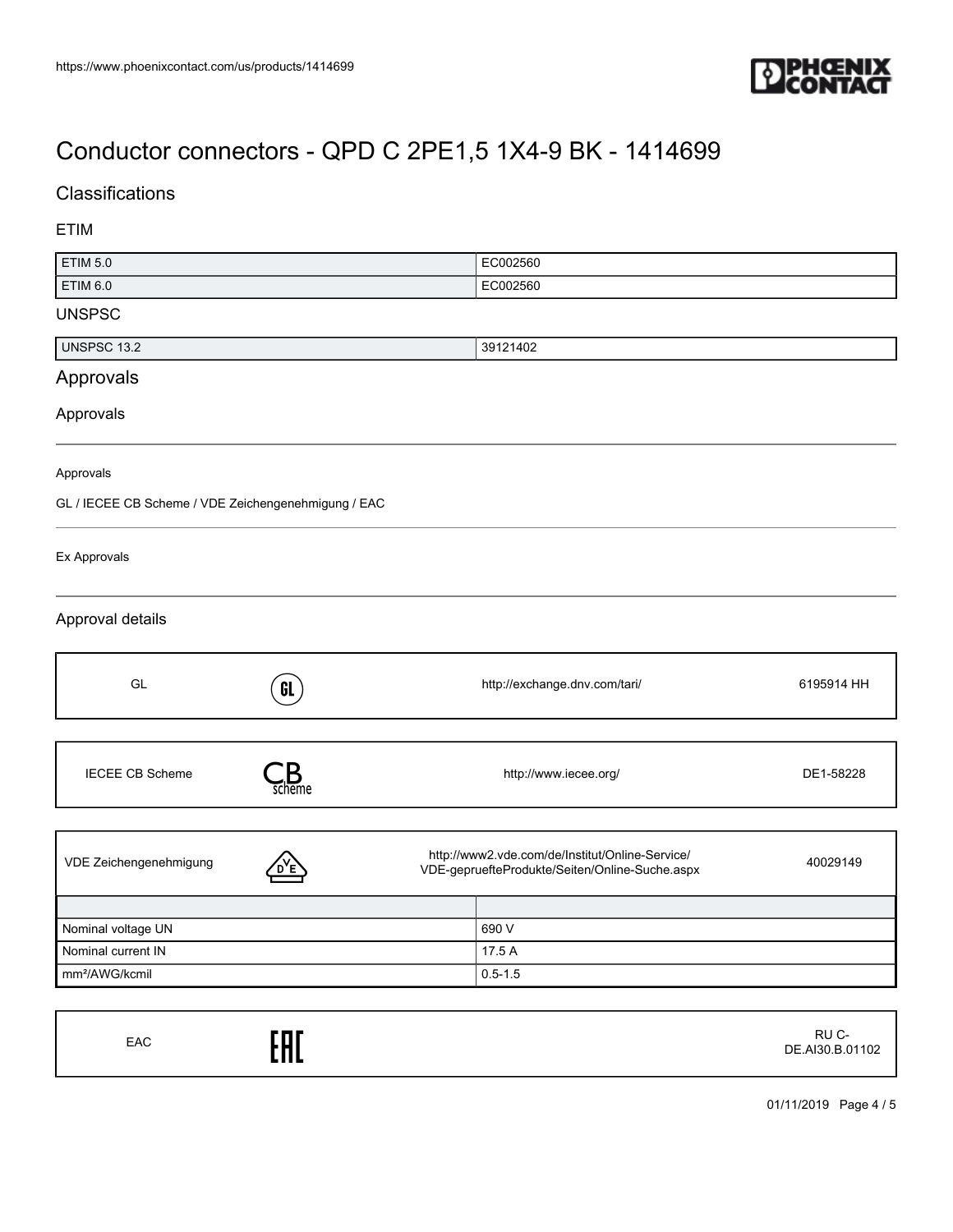

# **Classifications**

## ETIM

| <b>ETIM 5.0</b>                                     |                        | EC002560                                                                                          |            |
|-----------------------------------------------------|------------------------|---------------------------------------------------------------------------------------------------|------------|
| <b>ETIM 6.0</b>                                     |                        | EC002560                                                                                          |            |
| <b>UNSPSC</b>                                       |                        |                                                                                                   |            |
| <b>UNSPSC 13.2</b>                                  |                        | 39121402                                                                                          |            |
| Approvals                                           |                        |                                                                                                   |            |
| Approvals                                           |                        |                                                                                                   |            |
| Approvals                                           |                        |                                                                                                   |            |
| GL / IECEE CB Scheme / VDE Zeichengenehmigung / EAC |                        |                                                                                                   |            |
| Ex Approvals                                        |                        |                                                                                                   |            |
| Approval details                                    |                        |                                                                                                   |            |
| GL                                                  | GL                     | http://exchange.dnv.com/tari/                                                                     | 6195914 HH |
| <b>IECEE CB Scheme</b>                              | $\sum_{\text{scheme}}$ | http://www.iecee.org/                                                                             | DE1-58228  |
| VDE Zeichengenehmigung                              |                        | http://www2.vde.com/de/Institut/Online-Service/<br>VDE-gepruefteProdukte/Seiten/Online-Suche.aspx | 40029149   |
| Nominal voltage UN                                  |                        | 690 V                                                                                             |            |
| Nominal current IN                                  |                        | 17.5 A                                                                                            |            |
| mm <sup>2</sup> /AWG/kcmil                          |                        | $0.5 - 1.5$                                                                                       |            |

| EAC | EAC | RU C-<br>DE.AI30.B.01102 |
|-----|-----|--------------------------|
|-----|-----|--------------------------|